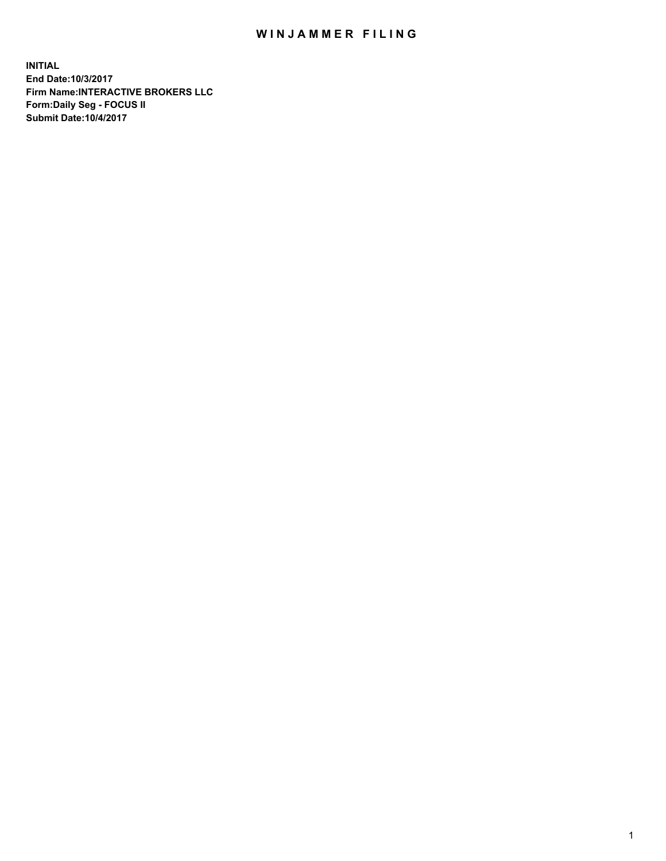## WIN JAMMER FILING

**INITIAL End Date:10/3/2017 Firm Name:INTERACTIVE BROKERS LLC Form:Daily Seg - FOCUS II Submit Date:10/4/2017**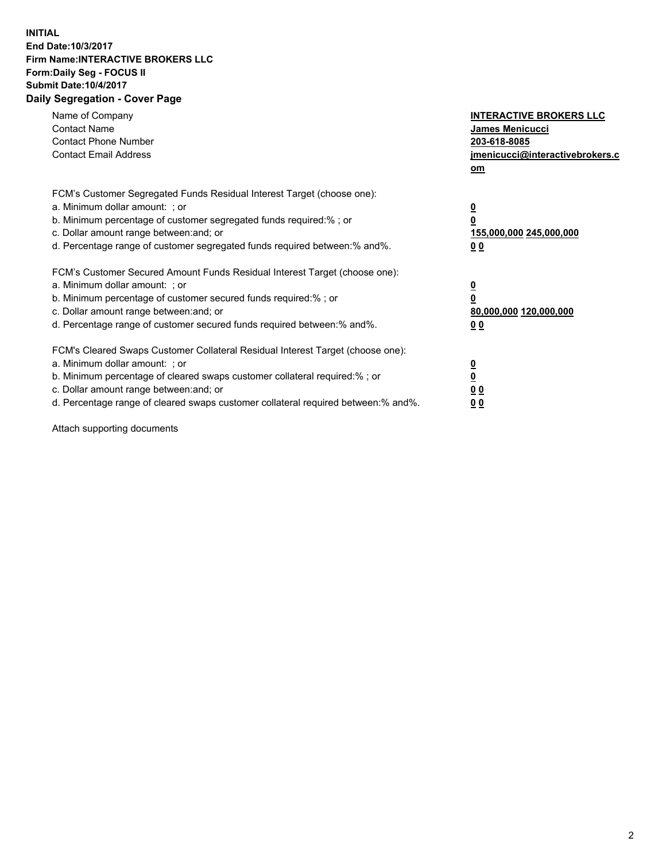## **INITIAL End Date:10/3/2017 Firm Name:INTERACTIVE BROKERS LLC Form:Daily Seg - FOCUS II Submit Date:10/4/2017 Daily Segregation - Cover Page**

| Name of Company<br><b>Contact Name</b><br><b>Contact Phone Number</b><br><b>Contact Email Address</b>                                                                                                                                                                                                                          | <b>INTERACTIVE BROKERS LLC</b><br><b>James Menicucci</b><br>203-618-8085<br>jmenicucci@interactivebrokers.c<br>om |
|--------------------------------------------------------------------------------------------------------------------------------------------------------------------------------------------------------------------------------------------------------------------------------------------------------------------------------|-------------------------------------------------------------------------------------------------------------------|
| FCM's Customer Segregated Funds Residual Interest Target (choose one):<br>a. Minimum dollar amount: ; or<br>b. Minimum percentage of customer segregated funds required:%; or<br>c. Dollar amount range between: and; or<br>d. Percentage range of customer segregated funds required between:% and%.                          | $\overline{\mathbf{0}}$<br>0<br>155,000,000 245,000,000<br>0 <sub>0</sub>                                         |
| FCM's Customer Secured Amount Funds Residual Interest Target (choose one):<br>a. Minimum dollar amount: ; or<br>b. Minimum percentage of customer secured funds required:%; or<br>c. Dollar amount range between: and; or<br>d. Percentage range of customer secured funds required between: % and %.                          | $\overline{\mathbf{0}}$<br>0<br>80,000,000 120,000,000<br>0 <sub>0</sub>                                          |
| FCM's Cleared Swaps Customer Collateral Residual Interest Target (choose one):<br>a. Minimum dollar amount: ; or<br>b. Minimum percentage of cleared swaps customer collateral required:% ; or<br>c. Dollar amount range between: and; or<br>d. Percentage range of cleared swaps customer collateral required between:% and%. | $\overline{\mathbf{0}}$<br>$\overline{\mathbf{0}}$<br>0 <sub>0</sub><br><u>00</u>                                 |

Attach supporting documents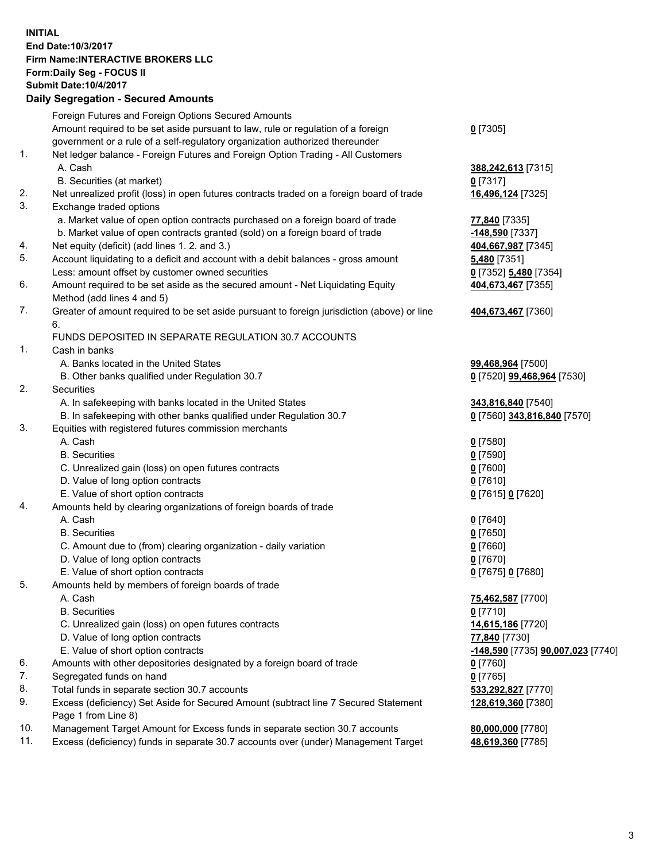## **INITIAL End Date:10/3/2017 Firm Name:INTERACTIVE BROKERS LLC Form:Daily Seg - FOCUS II Submit Date:10/4/2017**

|          | <b>Daily Segregation - Secured Amounts</b>                                                                                        |                                           |
|----------|-----------------------------------------------------------------------------------------------------------------------------------|-------------------------------------------|
|          | Foreign Futures and Foreign Options Secured Amounts                                                                               |                                           |
|          | Amount required to be set aside pursuant to law, rule or regulation of a foreign                                                  | $0$ [7305]                                |
|          | government or a rule of a self-regulatory organization authorized thereunder                                                      |                                           |
| 1.       | Net ledger balance - Foreign Futures and Foreign Option Trading - All Customers                                                   |                                           |
|          | A. Cash                                                                                                                           | 388,242,613 [7315]                        |
|          | B. Securities (at market)                                                                                                         | $0$ [7317]                                |
| 2.       | Net unrealized profit (loss) in open futures contracts traded on a foreign board of trade                                         | 16,496,124 [7325]                         |
| 3.       | Exchange traded options                                                                                                           |                                           |
|          | a. Market value of open option contracts purchased on a foreign board of trade                                                    | 77,840 [7335]                             |
| 4.       | b. Market value of open contracts granted (sold) on a foreign board of trade                                                      | -148,590 [7337]                           |
| 5.       | Net equity (deficit) (add lines 1.2. and 3.)<br>Account liquidating to a deficit and account with a debit balances - gross amount | 404,667,987 [7345]<br><b>5,480</b> [7351] |
|          | Less: amount offset by customer owned securities                                                                                  | 0 [7352] 5,480 [7354]                     |
| 6.       | Amount required to be set aside as the secured amount - Net Liquidating Equity                                                    | 404,673,467 [7355]                        |
|          | Method (add lines 4 and 5)                                                                                                        |                                           |
| 7.       | Greater of amount required to be set aside pursuant to foreign jurisdiction (above) or line                                       | 404,673,467 [7360]                        |
|          | 6.                                                                                                                                |                                           |
|          | FUNDS DEPOSITED IN SEPARATE REGULATION 30.7 ACCOUNTS                                                                              |                                           |
| 1.       | Cash in banks                                                                                                                     |                                           |
|          | A. Banks located in the United States                                                                                             | 99,468,964 [7500]                         |
|          | B. Other banks qualified under Regulation 30.7                                                                                    | 0 [7520] 99,468,964 [7530]                |
| 2.       | Securities                                                                                                                        |                                           |
|          | A. In safekeeping with banks located in the United States                                                                         | 343,816,840 [7540]                        |
|          | B. In safekeeping with other banks qualified under Regulation 30.7                                                                | 0 [7560] 343,816,840 [7570]               |
| 3.       | Equities with registered futures commission merchants                                                                             |                                           |
|          | A. Cash                                                                                                                           | $0$ [7580]                                |
|          | <b>B.</b> Securities                                                                                                              | $0$ [7590]<br>$0$ [7600]                  |
|          | C. Unrealized gain (loss) on open futures contracts<br>D. Value of long option contracts                                          | $0$ [7610]                                |
|          | E. Value of short option contracts                                                                                                | 0 [7615] 0 [7620]                         |
| 4.       | Amounts held by clearing organizations of foreign boards of trade                                                                 |                                           |
|          | A. Cash                                                                                                                           | $0$ [7640]                                |
|          | <b>B.</b> Securities                                                                                                              | $0$ [7650]                                |
|          | C. Amount due to (from) clearing organization - daily variation                                                                   | $0$ [7660]                                |
|          | D. Value of long option contracts                                                                                                 | $0$ [7670]                                |
|          | E. Value of short option contracts                                                                                                | 0 [7675] 0 [7680]                         |
| 5.       | Amounts held by members of foreign boards of trade                                                                                |                                           |
|          | A. Cash                                                                                                                           | 75,462,587 [7700]                         |
|          | <b>B.</b> Securities                                                                                                              | $0$ [7710]                                |
|          | C. Unrealized gain (loss) on open futures contracts                                                                               | 14,615,186 [7720]                         |
|          | D. Value of long option contracts                                                                                                 | 77,840 [7730]                             |
|          | E. Value of short option contracts                                                                                                | -148,590 [7735] 90,007,023 [7740]         |
| 6.<br>7. | Amounts with other depositories designated by a foreign board of trade                                                            | 0 [7760]                                  |
| 8.       | Segregated funds on hand<br>Total funds in separate section 30.7 accounts                                                         | $0$ [7765]<br>533,292,827 [7770]          |
| 9.       | Excess (deficiency) Set Aside for Secured Amount (subtract line 7 Secured Statement                                               | 128,619,360 [7380]                        |
|          | Page 1 from Line 8)                                                                                                               |                                           |
| 10.      | Management Target Amount for Excess funds in separate section 30.7 accounts                                                       | 80,000,000 [7780]                         |
| 11.      | Excess (deficiency) funds in separate 30.7 accounts over (under) Management Target                                                | 48,619,360 [7785]                         |
|          |                                                                                                                                   |                                           |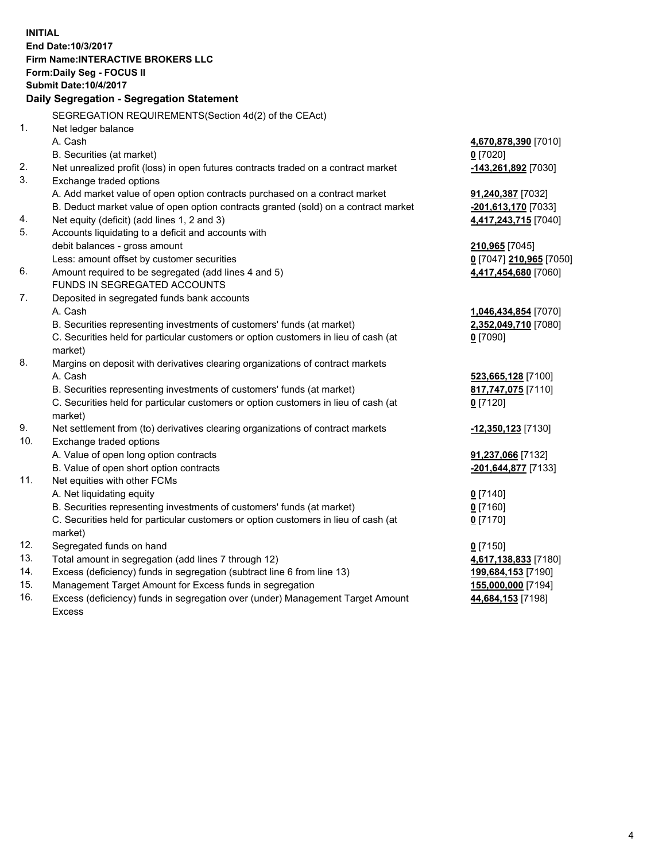**INITIAL End Date:10/3/2017 Firm Name:INTERACTIVE BROKERS LLC Form:Daily Seg - FOCUS II Submit Date:10/4/2017 Daily Segregation - Segregation Statement** SEGREGATION REQUIREMENTS(Section 4d(2) of the CEAct) 1. Net ledger balance A. Cash **4,670,878,390** [7010] B. Securities (at market) **0** [7020] 2. Net unrealized profit (loss) in open futures contracts traded on a contract market **-143,261,892** [7030] 3. Exchange traded options A. Add market value of open option contracts purchased on a contract market **91,240,387** [7032] B. Deduct market value of open option contracts granted (sold) on a contract market **-201,613,170** [7033] 4. Net equity (deficit) (add lines 1, 2 and 3) **4,417,243,715** [7040] 5. Accounts liquidating to a deficit and accounts with debit balances - gross amount **210,965** [7045] Less: amount offset by customer securities **0** [7047] **210,965** [7050] 6. Amount required to be segregated (add lines 4 and 5) **4,417,454,680** [7060] FUNDS IN SEGREGATED ACCOUNTS 7. Deposited in segregated funds bank accounts A. Cash **1,046,434,854** [7070] B. Securities representing investments of customers' funds (at market) **2,352,049,710** [7080] C. Securities held for particular customers or option customers in lieu of cash (at market) **0** [7090] 8. Margins on deposit with derivatives clearing organizations of contract markets A. Cash **523,665,128** [7100] B. Securities representing investments of customers' funds (at market) **817,747,075** [7110] C. Securities held for particular customers or option customers in lieu of cash (at market) **0** [7120] 9. Net settlement from (to) derivatives clearing organizations of contract markets **-12,350,123** [7130] 10. Exchange traded options A. Value of open long option contracts **91,237,066** [7132] B. Value of open short option contracts **-201,644,877** [7133] 11. Net equities with other FCMs A. Net liquidating equity **0** [7140] B. Securities representing investments of customers' funds (at market) **0** [7160] C. Securities held for particular customers or option customers in lieu of cash (at market) **0** [7170] 12. Segregated funds on hand **0** [7150] 13. Total amount in segregation (add lines 7 through 12) **4,617,138,833** [7180] 14. Excess (deficiency) funds in segregation (subtract line 6 from line 13) **199,684,153** [7190] 15. Management Target Amount for Excess funds in segregation **155,000,000** [7194] 16. Excess (deficiency) funds in segregation over (under) Management Target Amount **44,684,153** [7198]

Excess